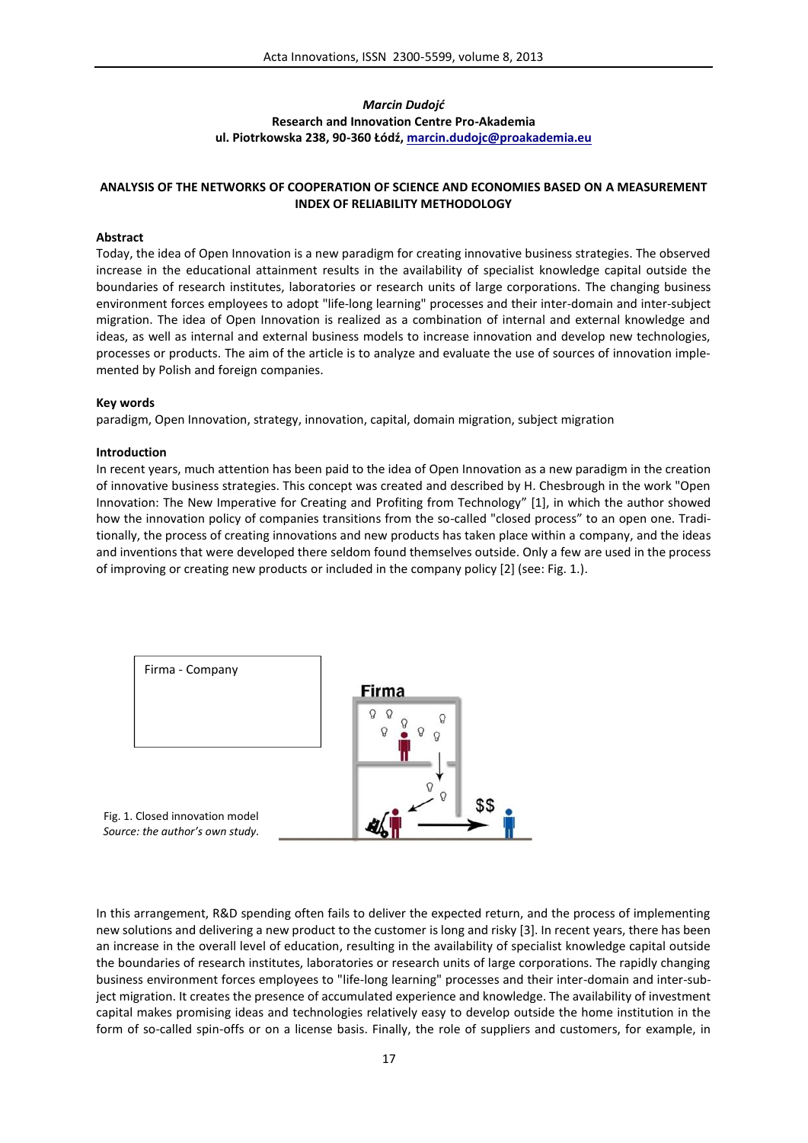## *Marcin Dudojć* **Research and Innovation Centre Pro-Akademia ul. Piotrkowska 238, 90-360 Łódź, marcin.dudojc@proakademia.eu**

## **ANALYSIS OF THE NETWORKS OF COOPERATION OF SCIENCE AND ECONOMIES BASED ON A MEASUREMENT INDEX OF RELIABILITY METHODOLOGY**

#### **Abstract**

Today, the idea of Open Innovation is a new paradigm for creating innovative business strategies. The observed increase in the educational attainment results in the availability of specialist knowledge capital outside the boundaries of research institutes, laboratories or research units of large corporations. The changing business environment forces employees to adopt "life-long learning" processes and their inter-domain and inter-subject migration. The idea of Open Innovation is realized as a combination of internal and external knowledge and ideas, as well as internal and external business models to increase innovation and develop new technologies, processes or products. The aim of the article is to analyze and evaluate the use of sources of innovation implemented by Polish and foreign companies.

#### **Key words**

paradigm, Open Innovation, strategy, innovation, capital, domain migration, subject migration

#### **Introduction**

In recent years, much attention has been paid to the idea of Open Innovation as a new paradigm in the creation of innovative business strategies. This concept was created and described by H. Chesbrough in the work "Open Innovation: The New Imperative for Creating and Profiting from Technology" [1], in which the author showed how the innovation policy of companies transitions from the so-called "closed process" to an open one. Traditionally, the process of creating innovations and new products has taken place within a company, and the ideas and inventions that were developed there seldom found themselves outside. Only a few are used in the process of improving or creating new products or included in the company policy [2] (see: Fig. 1.).



Fig. 1. Closed innovation model *Source: the author's own study.*

In this arrangement, R&D spending often fails to deliver the expected return, and the process of implementing new solutions and delivering a new product to the customer is long and risky [3]. In recent years, there has been an increase in the overall level of education, resulting in the availability of specialist knowledge capital outside the boundaries of research institutes, laboratories or research units of large corporations. The rapidly changing business environment forces employees to "life-long learning" processes and their inter-domain and inter-subject migration. It creates the presence of accumulated experience and knowledge. The availability of investment capital makes promising ideas and technologies relatively easy to develop outside the home institution in the form of so-called spin-offs or on a license basis. Finally, the role of suppliers and customers, for example, in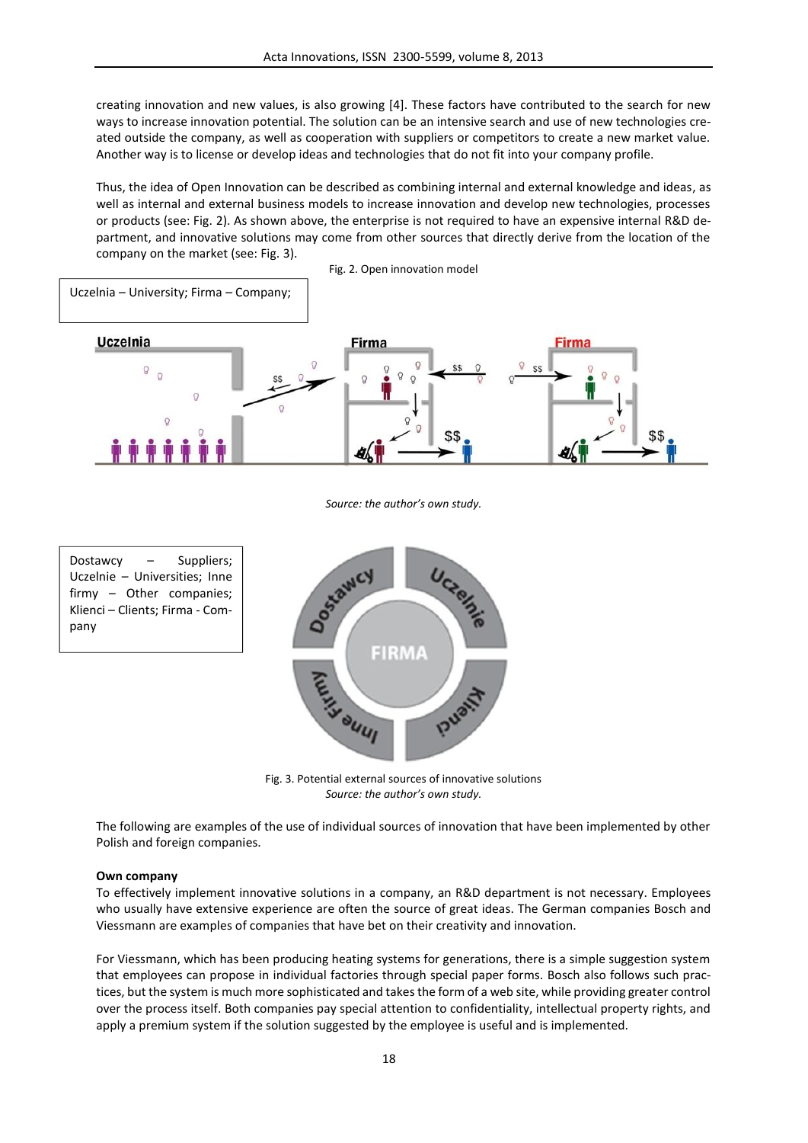creating innovation and new values, is also growing [4]. These factors have contributed to the search for new ways to increase innovation potential. The solution can be an intensive search and use of new technologies created outside the company, as well as cooperation with suppliers or competitors to create a new market value. Another way is to license or develop ideas and technologies that do not fit into your company profile.

Thus, the idea of Open Innovation can be described as combining internal and external knowledge and ideas, as well as internal and external business models to increase innovation and develop new technologies, processes or products (see: Fig. 2). As shown above, the enterprise is not required to have an expensive internal R&D department, and innovative solutions may come from other sources that directly derive from the location of the company on the market (see: Fig. 3).



*Source: the author's own study.*

Dostawcy – Suppliers; Uczelnie – Universities; Inne firmy – Other companies; Klienci – Clients; Firma - Company



Fig. 3. Potential external sources of innovative solutions *Source: the author's own study.*

The following are examples of the use of individual sources of innovation that have been implemented by other Polish and foreign companies.

#### **Own company**

To effectively implement innovative solutions in a company, an R&D department is not necessary. Employees who usually have extensive experience are often the source of great ideas. The German companies Bosch and Viessmann are examples of companies that have bet on their creativity and innovation.

For Viessmann, which has been producing heating systems for generations, there is a simple suggestion system that employees can propose in individual factories through special paper forms. Bosch also follows such practices, but the system is much more sophisticated and takes the form of a web site, while providing greater control over the process itself. Both companies pay special attention to confidentiality, intellectual property rights, and apply a premium system if the solution suggested by the employee is useful and is implemented.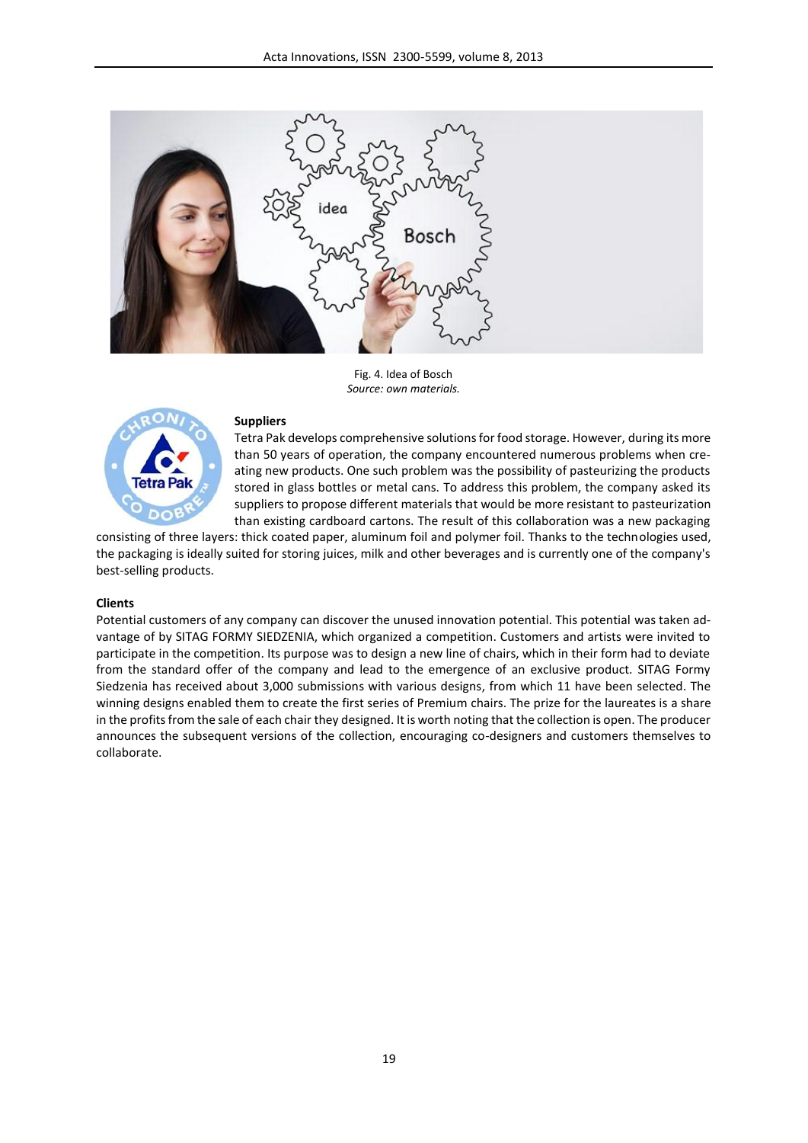

Fig. 4. Idea of Bosch *Source: own materials.*



#### **Suppliers**

Tetra Pak develops comprehensive solutions for food storage. However, during its more than 50 years of operation, the company encountered numerous problems when creating new products. One such problem was the possibility of pasteurizing the products stored in glass bottles or metal cans. To address this problem, the company asked its suppliers to propose different materials that would be more resistant to pasteurization than existing cardboard cartons. The result of this collaboration was a new packaging

consisting of three layers: thick coated paper, aluminum foil and polymer foil. Thanks to the technologies used, the packaging is ideally suited for storing juices, milk and other beverages and is currently one of the company's best-selling products.

### **Clients**

Potential customers of any company can discover the unused innovation potential. This potential was taken advantage of by SITAG FORMY SIEDZENIA, which organized a competition. Customers and artists were invited to participate in the competition. Its purpose was to design a new line of chairs, which in their form had to deviate from the standard offer of the company and lead to the emergence of an exclusive product. SITAG Formy Siedzenia has received about 3,000 submissions with various designs, from which 11 have been selected. The winning designs enabled them to create the first series of Premium chairs. The prize for the laureates is a share in the profits from the sale of each chair they designed. It is worth noting that the collection is open. The producer announces the subsequent versions of the collection, encouraging co-designers and customers themselves to collaborate.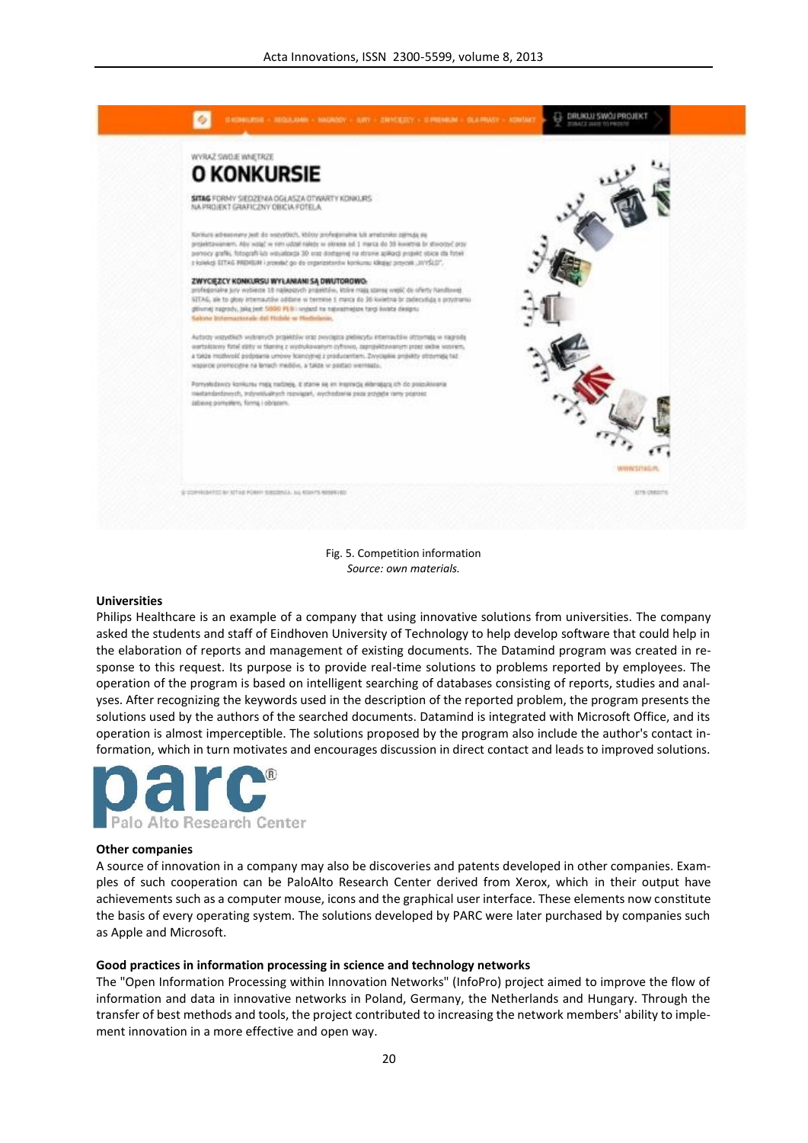

Fig. 5. Competition information *Source: own materials.*

#### **Universities**

Philips Healthcare is an example of a company that using innovative solutions from universities. The company asked the students and staff of Eindhoven University of Technology to help develop software that could help in the elaboration of reports and management of existing documents. The Datamind program was created in response to this request. Its purpose is to provide real-time solutions to problems reported by employees. The operation of the program is based on intelligent searching of databases consisting of reports, studies and analyses. After recognizing the keywords used in the description of the reported problem, the program presents the solutions used by the authors of the searched documents. Datamind is integrated with Microsoft Office, and its operation is almost imperceptible. The solutions proposed by the program also include the author's contact information, which in turn motivates and encourages discussion in direct contact and leads to improved solutions.



#### **Other companies**

A source of innovation in a company may also be discoveries and patents developed in other companies. Examples of such cooperation can be PaloAlto Research Center derived from Xerox, which in their output have achievements such as a computer mouse, icons and the graphical user interface. These elements now constitute the basis of every operating system. The solutions developed by PARC were later purchased by companies such as Apple and Microsoft.

#### **Good practices in information processing in science and technology networks**

The "Open Information Processing within Innovation Networks" (InfoPro) project aimed to improve the flow of information and data in innovative networks in Poland, Germany, the Netherlands and Hungary. Through the transfer of best methods and tools, the project contributed to increasing the network members' ability to implement innovation in a more effective and open way.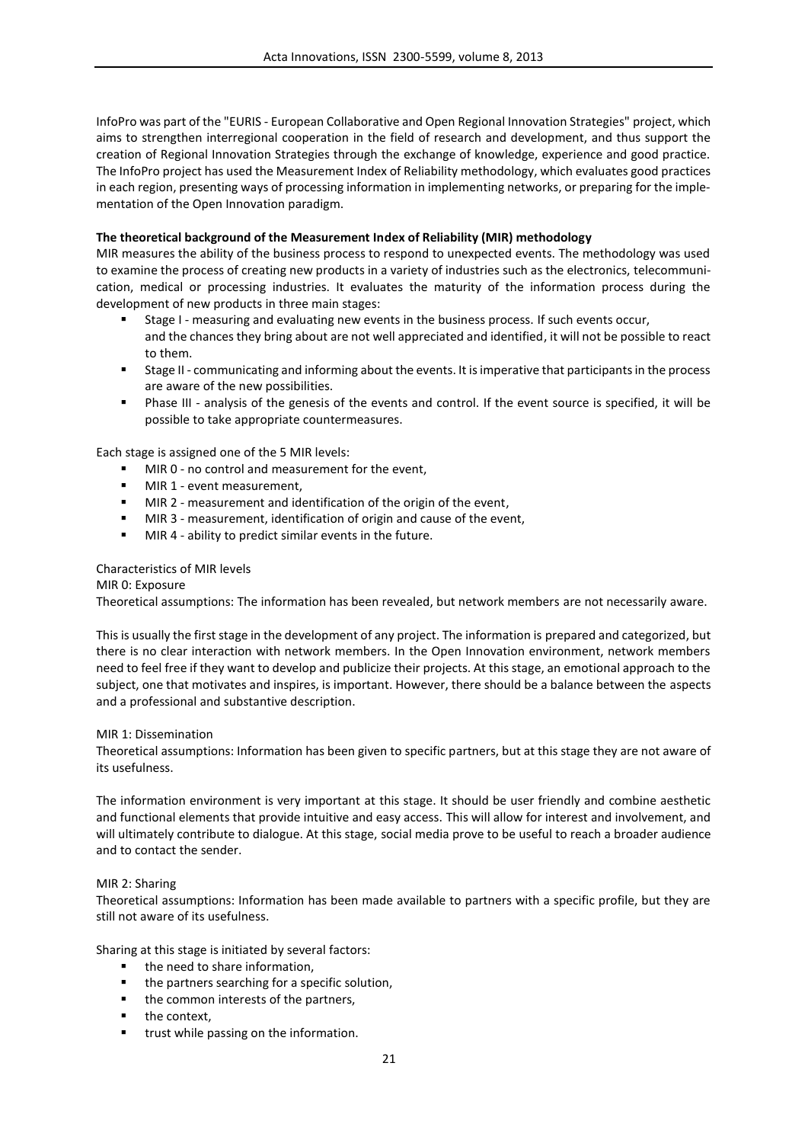InfoPro was part of the "EURIS - European Collaborative and Open Regional Innovation Strategies" project, which aims to strengthen interregional cooperation in the field of research and development, and thus support the creation of Regional Innovation Strategies through the exchange of knowledge, experience and good practice. The InfoPro project has used the Measurement Index of Reliability methodology, which evaluates good practices in each region, presenting ways of processing information in implementing networks, or preparing for the implementation of the Open Innovation paradigm.

## **The theoretical background of the Measurement Index of Reliability (MIR) methodology**

MIR measures the ability of the business process to respond to unexpected events. The methodology was used to examine the process of creating new products in a variety of industries such as the electronics, telecommunication, medical or processing industries. It evaluates the maturity of the information process during the development of new products in three main stages:

- Stage I measuring and evaluating new events in the business process. If such events occur, and the chances they bring about are not well appreciated and identified, it will not be possible to react to them.
- Stage II communicating and informing about the events. It is imperative that participants in the process are aware of the new possibilities.
- Phase III analysis of the genesis of the events and control. If the event source is specified, it will be possible to take appropriate countermeasures.

Each stage is assigned one of the 5 MIR levels:

- MIR 0 no control and measurement for the event.
- **MIR 1 event measurement,**
- MIR 2 measurement and identification of the origin of the event,
- MIR 3 measurement, identification of origin and cause of the event,
- **MIR 4 ability to predict similar events in the future.**

## Characteristics of MIR levels

## MIR 0: Exposure

Theoretical assumptions: The information has been revealed, but network members are not necessarily aware.

This is usually the first stage in the development of any project. The information is prepared and categorized, but there is no clear interaction with network members. In the Open Innovation environment, network members need to feel free if they want to develop and publicize their projects. At this stage, an emotional approach to the subject, one that motivates and inspires, is important. However, there should be a balance between the aspects and a professional and substantive description.

#### MIR 1: Dissemination

Theoretical assumptions: Information has been given to specific partners, but at this stage they are not aware of its usefulness.

The information environment is very important at this stage. It should be user friendly and combine aesthetic and functional elements that provide intuitive and easy access. This will allow for interest and involvement, and will ultimately contribute to dialogue. At this stage, social media prove to be useful to reach a broader audience and to contact the sender.

## MIR 2: Sharing

Theoretical assumptions: Information has been made available to partners with a specific profile, but they are still not aware of its usefulness.

Sharing at this stage is initiated by several factors:

- the need to share information,
- the partners searching for a specific solution,
- the common interests of the partners,
- $\blacksquare$  the context,
- **trust while passing on the information.**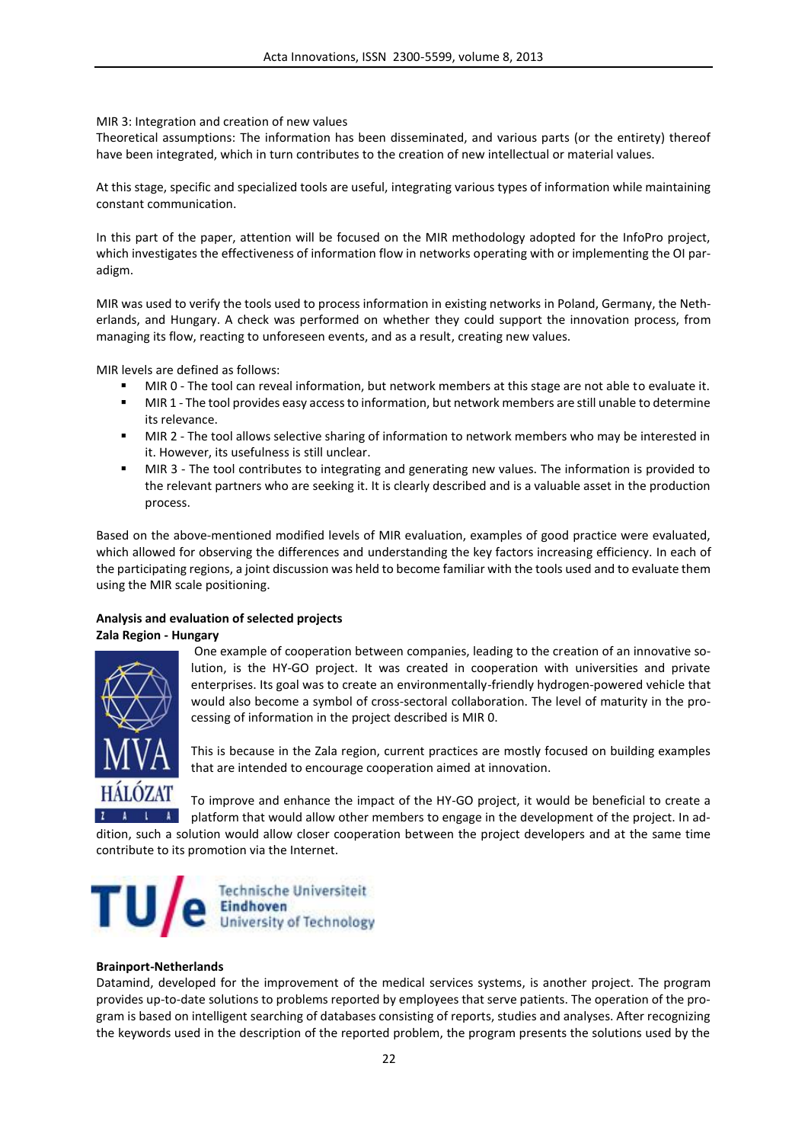## MIR 3: Integration and creation of new values

Theoretical assumptions: The information has been disseminated, and various parts (or the entirety) thereof have been integrated, which in turn contributes to the creation of new intellectual or material values.

At this stage, specific and specialized tools are useful, integrating various types of information while maintaining constant communication.

In this part of the paper, attention will be focused on the MIR methodology adopted for the InfoPro project, which investigates the effectiveness of information flow in networks operating with or implementing the OI paradigm.

MIR was used to verify the tools used to process information in existing networks in Poland, Germany, the Netherlands, and Hungary. A check was performed on whether they could support the innovation process, from managing its flow, reacting to unforeseen events, and as a result, creating new values.

MIR levels are defined as follows:

- MIR 0 The tool can reveal information, but network members at this stage are not able to evaluate it.
- MIR 1 The tool provides easy access to information, but network members are still unable to determine its relevance.
- MIR 2 The tool allows selective sharing of information to network members who may be interested in it. However, its usefulness is still unclear.
- MIR 3 The tool contributes to integrating and generating new values. The information is provided to the relevant partners who are seeking it. It is clearly described and is a valuable asset in the production process.

Based on the above-mentioned modified levels of MIR evaluation, examples of good practice were evaluated, which allowed for observing the differences and understanding the key factors increasing efficiency. In each of the participating regions, a joint discussion was held to become familiar with the tools used and to evaluate them using the MIR scale positioning.

## **Analysis and evaluation of selected projects Zala Region - Hungary**



One example of cooperation between companies, leading to the creation of an innovative solution, is the HY-GO project. It was created in cooperation with universities and private enterprises. Its goal was to create an environmentally-friendly hydrogen-powered vehicle that would also become a symbol of cross-sectoral collaboration. The level of maturity in the processing of information in the project described is MIR 0.

This is because in the Zala region, current practices are mostly focused on building examples that are intended to encourage cooperation aimed at innovation.

To improve and enhance the impact of the HY-GO project, it would be beneficial to create a **A** platform that would allow other members to engage in the development of the project. In ad-

dition, such a solution would allow closer cooperation between the project developers and at the same time contribute to its promotion via the Internet.



## **Brainport-Netherlands**

Datamind, developed for the improvement of the medical services systems, is another project. The program provides up-to-date solutions to problems reported by employees that serve patients. The operation of the program is based on intelligent searching of databases consisting of reports, studies and analyses. After recognizing the keywords used in the description of the reported problem, the program presents the solutions used by the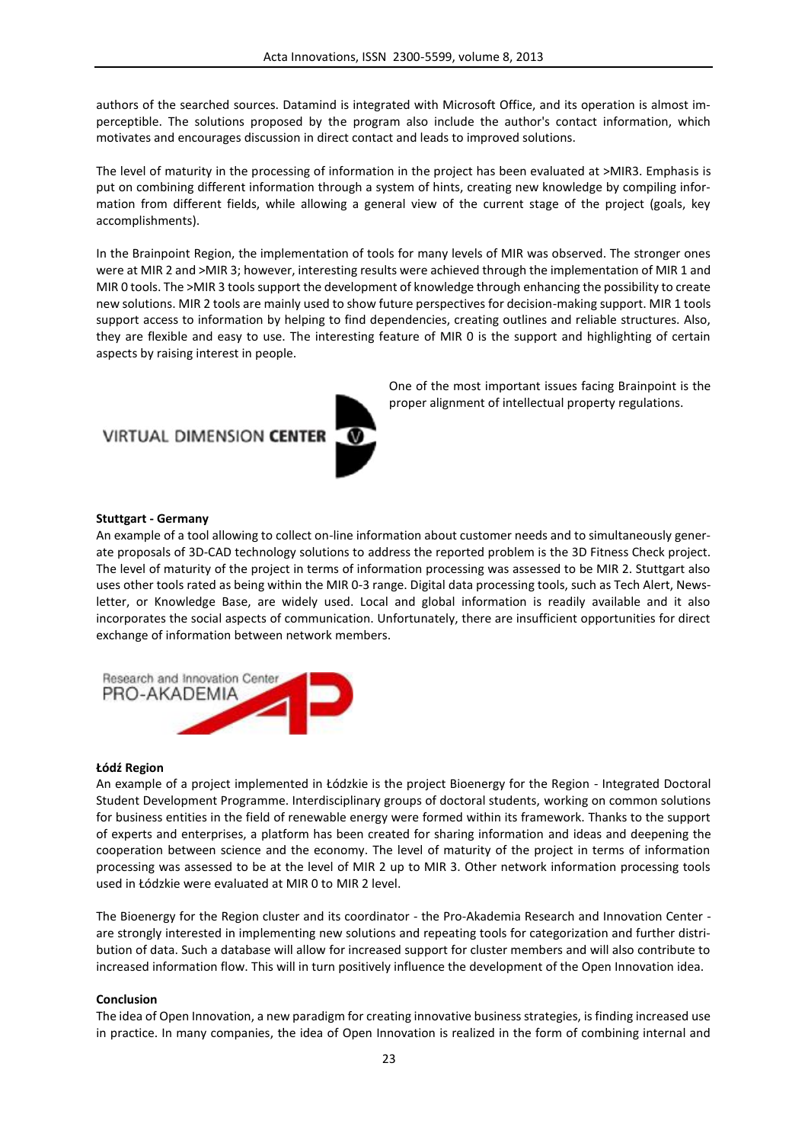authors of the searched sources. Datamind is integrated with Microsoft Office, and its operation is almost imperceptible. The solutions proposed by the program also include the author's contact information, which motivates and encourages discussion in direct contact and leads to improved solutions.

The level of maturity in the processing of information in the project has been evaluated at >MIR3. Emphasis is put on combining different information through a system of hints, creating new knowledge by compiling information from different fields, while allowing a general view of the current stage of the project (goals, key accomplishments).

In the Brainpoint Region, the implementation of tools for many levels of MIR was observed. The stronger ones were at MIR 2 and >MIR 3; however, interesting results were achieved through the implementation of MIR 1 and MIR 0 tools. The >MIR 3 tools support the development of knowledge through enhancing the possibility to create new solutions. MIR 2 tools are mainly used to show future perspectives for decision-making support. MIR 1 tools support access to information by helping to find dependencies, creating outlines and reliable structures. Also, they are flexible and easy to use. The interesting feature of MIR 0 is the support and highlighting of certain aspects by raising interest in people.

# **VIRTUAL DIMENSION CENTER**



One of the most important issues facing Brainpoint is the proper alignment of intellectual property regulations.

### **Stuttgart - Germany**

An example of a tool allowing to collect on-line information about customer needs and to simultaneously generate proposals of 3D-CAD technology solutions to address the reported problem is the 3D Fitness Check project. The level of maturity of the project in terms of information processing was assessed to be MIR 2. Stuttgart also uses other tools rated as being within the MIR 0-3 range. Digital data processing tools, such as Tech Alert, Newsletter, or Knowledge Base, are widely used. Local and global information is readily available and it also incorporates the social aspects of communication. Unfortunately, there are insufficient opportunities for direct exchange of information between network members.



#### **Łódź Region**

An example of a project implemented in Łódzkie is the project Bioenergy for the Region - Integrated Doctoral Student Development Programme. Interdisciplinary groups of doctoral students, working on common solutions for business entities in the field of renewable energy were formed within its framework. Thanks to the support of experts and enterprises, a platform has been created for sharing information and ideas and deepening the cooperation between science and the economy. The level of maturity of the project in terms of information processing was assessed to be at the level of MIR 2 up to MIR 3. Other network information processing tools used in Łódzkie were evaluated at MIR 0 to MIR 2 level.

The Bioenergy for the Region cluster and its coordinator - the Pro-Akademia Research and Innovation Center are strongly interested in implementing new solutions and repeating tools for categorization and further distribution of data. Such a database will allow for increased support for cluster members and will also contribute to increased information flow. This will in turn positively influence the development of the Open Innovation idea.

#### **Conclusion**

The idea of Open Innovation, a new paradigm for creating innovative business strategies, is finding increased use in practice. In many companies, the idea of Open Innovation is realized in the form of combining internal and